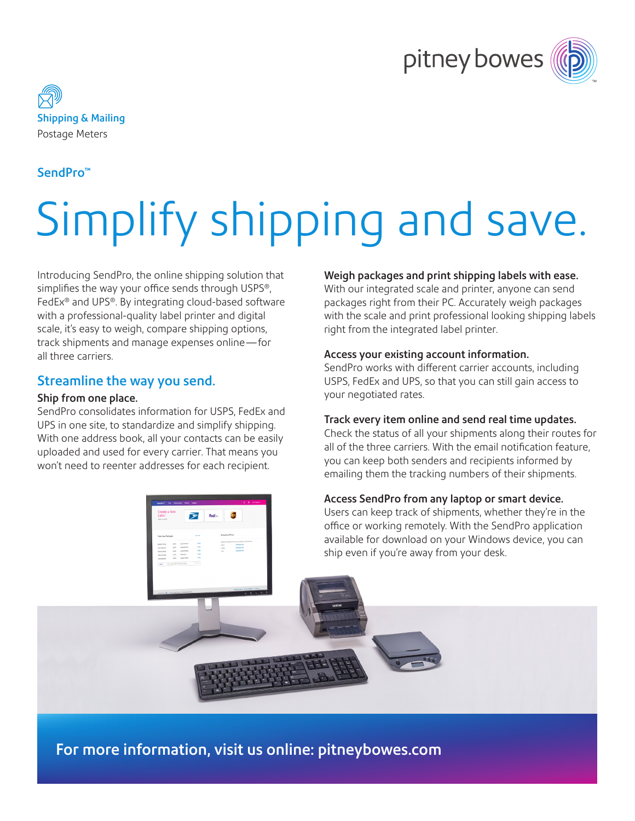



## SendPro™

# Simplify shipping and save.

Introducing SendPro, the online shipping solution that simplifies the way your office sends through USPS®, FedEx® and UPS®. By integrating cloud-based software with a professional-quality label printer and digital scale, it's easy to weigh, compare shipping options, track shipments and manage expenses online—for all three carriers.

## Streamline the way you send.

#### Ship from one place.

SendPro consolidates information for USPS, FedEx and UPS in one site, to standardize and simplify shipping. With one address book, all your contacts can be easily uploaded and used for every carrier. That means you won't need to reenter addresses for each recipient.

#### Weigh packages and print shipping labels with ease.

With our integrated scale and printer, anyone can send packages right from their PC. Accurately weigh packages with the scale and print professional looking shipping labels right from the integrated label printer.

## Access your existing account information.

SendPro works with different carrier accounts, including USPS, FedEx and UPS, so that you can still gain access to your negotiated rates.

## Track every item online and send real time updates.

Check the status of all your shipments along their routes for all of the three carriers. With the email notification feature, you can keep both senders and recipients informed by emailing them the tracking numbers of their shipments.

## Access SendPro from any laptop or smart device.

Users can keep track of shipments, whether they're in the office or working remotely. With the SendPro application available for download on your Windows device, you can ship even if you're away from your desk.

For more information, visit us online: [pitneybowes.com](http://pitneybowes.com )